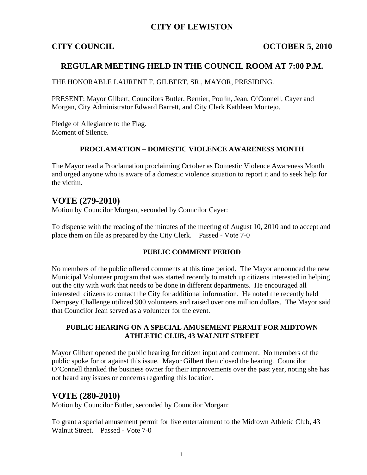# **CITY OF LEWISTON**

## **CITY COUNCIL COUNCIL COUNCIL** COUNCIL COUNCIL

## **REGULAR MEETING HELD IN THE COUNCIL ROOM AT 7:00 P.M.**

THE HONORABLE LAURENT F. GILBERT, SR., MAYOR, PRESIDING.

PRESENT: Mayor Gilbert, Councilors Butler, Bernier, Poulin, Jean, O'Connell, Cayer and Morgan, City Administrator Edward Barrett, and City Clerk Kathleen Montejo.

Pledge of Allegiance to the Flag. Moment of Silence.

#### **PROCLAMATION – DOMESTIC VIOLENCE AWARENESS MONTH**

The Mayor read a Proclamation proclaiming October as Domestic Violence Awareness Month and urged anyone who is aware of a domestic violence situation to report it and to seek help for the victim.

# **VOTE (279-2010)**

Motion by Councilor Morgan, seconded by Councilor Cayer:

To dispense with the reading of the minutes of the meeting of August 10, 2010 and to accept and place them on file as prepared by the City Clerk. Passed - Vote 7-0

#### **PUBLIC COMMENT PERIOD**

No members of the public offered comments at this time period. The Mayor announced the new Municipal Volunteer program that was started recently to match up citizens interested in helping out the city with work that needs to be done in different departments. He encouraged all interested citizens to contact the City for additional information. He noted the recently held Dempsey Challenge utilized 900 volunteers and raised over one million dollars. The Mayor said that Councilor Jean served as a volunteer for the event.

#### **PUBLIC HEARING ON A SPECIAL AMUSEMENT PERMIT FOR MIDTOWN ATHLETIC CLUB, 43 WALNUT STREET**

Mayor Gilbert opened the public hearing for citizen input and comment. No members of the public spoke for or against this issue. Mayor Gilbert then closed the hearing. Councilor O'Connell thanked the business owner for their improvements over the past year, noting she has not heard any issues or concerns regarding this location.

# **VOTE (280-2010)**

Motion by Councilor Butler, seconded by Councilor Morgan:

To grant a special amusement permit for live entertainment to the Midtown Athletic Club, 43 Walnut Street. Passed - Vote 7-0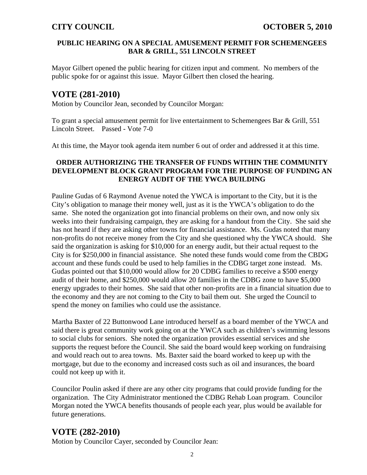### **PUBLIC HEARING ON A SPECIAL AMUSEMENT PERMIT FOR SCHEMENGEES BAR & GRILL, 551 LINCOLN STREET**

Mayor Gilbert opened the public hearing for citizen input and comment. No members of the public spoke for or against this issue. Mayor Gilbert then closed the hearing.

# **VOTE (281-2010)**

Motion by Councilor Jean, seconded by Councilor Morgan:

To grant a special amusement permit for live entertainment to Schemengees Bar & Grill, 551 Lincoln Street. Passed - Vote 7-0

At this time, the Mayor took agenda item number 6 out of order and addressed it at this time.

## **ORDER AUTHORIZING THE TRANSFER OF FUNDS WITHIN THE COMMUNITY DEVELOPMENT BLOCK GRANT PROGRAM FOR THE PURPOSE OF FUNDING AN ENERGY AUDIT OF THE YWCA BUILDING**

Pauline Gudas of 6 Raymond Avenue noted the YWCA is important to the City, but it is the City's obligation to manage their money well, just as it is the YWCA's obligation to do the same. She noted the organization got into financial problems on their own, and now only six weeks into their fundraising campaign, they are asking for a handout from the City. She said she has not heard if they are asking other towns for financial assistance. Ms. Gudas noted that many non-profits do not receive money from the City and she questioned why the YWCA should. She said the organization is asking for \$10,000 for an energy audit, but their actual request to the City is for \$250,000 in financial assistance. She noted these funds would come from the CBDG account and these funds could be used to help families in the CDBG target zone instead. Ms. Gudas pointed out that \$10,000 would allow for 20 CDBG families to receive a \$500 energy audit of their home, and \$250,000 would allow 20 families in the CDBG zone to have \$5,000 energy upgrades to their homes. She said that other non-profits are in a financial situation due to the economy and they are not coming to the City to bail them out. She urged the Council to spend the money on families who could use the assistance.

Martha Baxter of 22 Buttonwood Lane introduced herself as a board member of the YWCA and said there is great community work going on at the YWCA such as children's swimming lessons to social clubs for seniors. She noted the organization provides essential services and she supports the request before the Council. She said the board would keep working on fundraising and would reach out to area towns. Ms. Baxter said the board worked to keep up with the mortgage, but due to the economy and increased costs such as oil and insurances, the board could not keep up with it.

Councilor Poulin asked if there are any other city programs that could provide funding for the organization. The City Administrator mentioned the CDBG Rehab Loan program. Councilor Morgan noted the YWCA benefits thousands of people each year, plus would be available for future generations.

# **VOTE (282-2010)**

Motion by Councilor Cayer, seconded by Councilor Jean: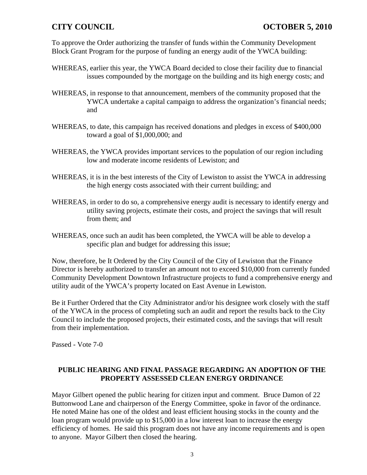To approve the Order authorizing the transfer of funds within the Community Development Block Grant Program for the purpose of funding an energy audit of the YWCA building:

- WHEREAS, earlier this year, the YWCA Board decided to close their facility due to financial issues compounded by the mortgage on the building and its high energy costs; and
- WHEREAS, in response to that announcement, members of the community proposed that the YWCA undertake a capital campaign to address the organization's financial needs; and
- WHEREAS, to date, this campaign has received donations and pledges in excess of \$400,000 toward a goal of \$1,000,000; and
- WHEREAS, the YWCA provides important services to the population of our region including low and moderate income residents of Lewiston; and
- WHEREAS, it is in the best interests of the City of Lewiston to assist the YWCA in addressing the high energy costs associated with their current building; and
- WHEREAS, in order to do so, a comprehensive energy audit is necessary to identify energy and utility saving projects, estimate their costs, and project the savings that will result from them; and
- WHEREAS, once such an audit has been completed, the YWCA will be able to develop a specific plan and budget for addressing this issue;

Now, therefore, be It Ordered by the City Council of the City of Lewiston that the Finance Director is hereby authorized to transfer an amount not to exceed \$10,000 from currently funded Community Development Downtown Infrastructure projects to fund a comprehensive energy and utility audit of the YWCA's property located on East Avenue in Lewiston.

Be it Further Ordered that the City Administrator and/or his designee work closely with the staff of the YWCA in the process of completing such an audit and report the results back to the City Council to include the proposed projects, their estimated costs, and the savings that will result from their implementation.

Passed - Vote 7-0

## **PUBLIC HEARING AND FINAL PASSAGE REGARDING AN ADOPTION OF THE PROPERTY ASSESSED CLEAN ENERGY ORDINANCE**

Mayor Gilbert opened the public hearing for citizen input and comment. Bruce Damon of 22 Buttonwood Lane and chairperson of the Energy Committee, spoke in favor of the ordinance. He noted Maine has one of the oldest and least efficient housing stocks in the county and the loan program would provide up to \$15,000 in a low interest loan to increase the energy efficiency of homes. He said this program does not have any income requirements and is open to anyone. Mayor Gilbert then closed the hearing.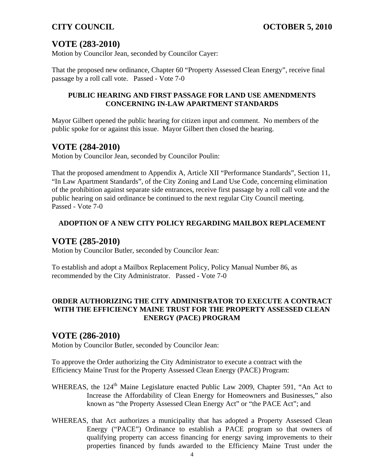# **VOTE (283-2010)**

Motion by Councilor Jean, seconded by Councilor Cayer:

That the proposed new ordinance, Chapter 60 "Property Assessed Clean Energy", receive final passage by a roll call vote. Passed - Vote 7-0

## **PUBLIC HEARING AND FIRST PASSAGE FOR LAND USE AMENDMENTS CONCERNING IN-LAW APARTMENT STANDARDS**

Mayor Gilbert opened the public hearing for citizen input and comment. No members of the public spoke for or against this issue. Mayor Gilbert then closed the hearing.

# **VOTE (284-2010)**

Motion by Councilor Jean, seconded by Councilor Poulin:

That the proposed amendment to Appendix A, Article XII "Performance Standards", Section 11, "In Law Apartment Standards", of the City Zoning and Land Use Code, concerning elimination of the prohibition against separate side entrances, receive first passage by a roll call vote and the public hearing on said ordinance be continued to the next regular City Council meeting. Passed - Vote 7-0

# **ADOPTION OF A NEW CITY POLICY REGARDING MAILBOX REPLACEMENT**

# **VOTE (285-2010)**

Motion by Councilor Butler, seconded by Councilor Jean:

To establish and adopt a Mailbox Replacement Policy, Policy Manual Number 86, as recommended by the City Administrator. Passed - Vote 7-0

### **ORDER AUTHORIZING THE CITY ADMINISTRATOR TO EXECUTE A CONTRACT WITH THE EFFICIENCY MAINE TRUST FOR THE PROPERTY ASSESSED CLEAN ENERGY (PACE) PROGRAM**

# **VOTE (286-2010)**

Motion by Councilor Butler, seconded by Councilor Jean:

To approve the Order authorizing the City Administrator to execute a contract with the Efficiency Maine Trust for the Property Assessed Clean Energy (PACE) Program:

- WHEREAS, the 124<sup>th</sup> Maine Legislature enacted Public Law 2009, Chapter 591, "An Act to Increase the Affordability of Clean Energy for Homeowners and Businesses," also known as "the Property Assessed Clean Energy Act" or "the PACE Act"; and
- WHEREAS, that Act authorizes a municipality that has adopted a Property Assessed Clean Energy ("PACE") Ordinance to establish a PACE program so that owners of qualifying property can access financing for energy saving improvements to their properties financed by funds awarded to the Efficiency Maine Trust under the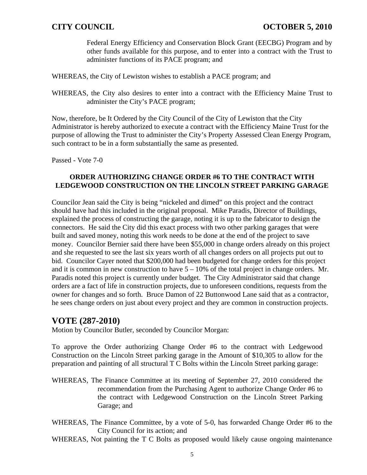Federal Energy Efficiency and Conservation Block Grant (EECBG) Program and by other funds available for this purpose, and to enter into a contract with the Trust to administer functions of its PACE program; and

WHEREAS, the City of Lewiston wishes to establish a PACE program; and

WHEREAS, the City also desires to enter into a contract with the Efficiency Maine Trust to administer the City's PACE program;

Now, therefore, be It Ordered by the City Council of the City of Lewiston that the City Administrator is hereby authorized to execute a contract with the Efficiency Maine Trust for the purpose of allowing the Trust to administer the City's Property Assessed Clean Energy Program, such contract to be in a form substantially the same as presented.

Passed - Vote 7-0

### **ORDER AUTHORIZING CHANGE ORDER #6 TO THE CONTRACT WITH LEDGEWOOD CONSTRUCTION ON THE LINCOLN STREET PARKING GARAGE**

Councilor Jean said the City is being "nickeled and dimed" on this project and the contract should have had this included in the original proposal. Mike Paradis, Director of Buildings, explained the process of constructing the garage, noting it is up to the fabricator to design the connectors. He said the City did this exact process with two other parking garages that were built and saved money, noting this work needs to be done at the end of the project to save money. Councilor Bernier said there have been \$55,000 in change orders already on this project and she requested to see the last six years worth of all changes orders on all projects put out to bid. Councilor Cayer noted that \$200,000 had been budgeted for change orders for this project and it is common in new construction to have  $5 - 10\%$  of the total project in change orders. Mr. Paradis noted this project is currently under budget. The City Administrator said that change orders are a fact of life in construction projects, due to unforeseen conditions, requests from the owner for changes and so forth. Bruce Damon of 22 Buttonwood Lane said that as a contractor, he sees change orders on just about every project and they are common in construction projects.

# **VOTE (287-2010)**

Motion by Councilor Butler, seconded by Councilor Morgan:

To approve the Order authorizing Change Order #6 to the contract with Ledgewood Construction on the Lincoln Street parking garage in the Amount of \$10,305 to allow for the preparation and painting of all structural T C Bolts within the Lincoln Street parking garage:

- WHEREAS, The Finance Committee at its meeting of September 27, 2010 considered the recommendation from the Purchasing Agent to authorize Change Order #6 to the contract with Ledgewood Construction on the Lincoln Street Parking Garage; and
- WHEREAS, The Finance Committee, by a vote of 5-0, has forwarded Change Order #6 to the City Council for its action; and
- WHEREAS, Not painting the T C Bolts as proposed would likely cause ongoing maintenance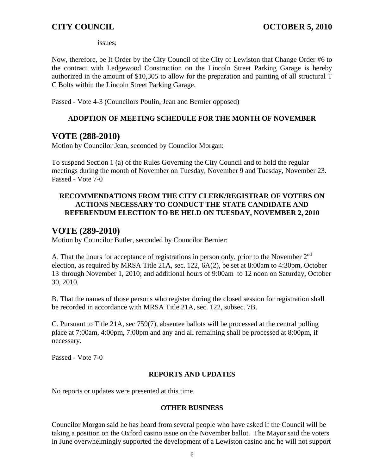issues;

Now, therefore, be It Order by the City Council of the City of Lewiston that Change Order #6 to the contract with Ledgewood Construction on the Lincoln Street Parking Garage is hereby authorized in the amount of \$10,305 to allow for the preparation and painting of all structural T C Bolts within the Lincoln Street Parking Garage.

Passed - Vote 4-3 (Councilors Poulin, Jean and Bernier opposed)

## **ADOPTION OF MEETING SCHEDULE FOR THE MONTH OF NOVEMBER**

# **VOTE (288-2010)**

Motion by Councilor Jean, seconded by Councilor Morgan:

To suspend Section 1 (a) of the Rules Governing the City Council and to hold the regular meetings during the month of November on Tuesday, November 9 and Tuesday, November 23. Passed - Vote 7-0

## **RECOMMENDATIONS FROM THE CITY CLERK/REGISTRAR OF VOTERS ON ACTIONS NECESSARY TO CONDUCT THE STATE CANDIDATE AND REFERENDUM ELECTION TO BE HELD ON TUESDAY, NOVEMBER 2, 2010**

# **VOTE (289-2010)**

Motion by Councilor Butler, seconded by Councilor Bernier:

A. That the hours for acceptance of registrations in person only, prior to the November  $2<sup>nd</sup>$ election, as required by MRSA Title 21A, sec. 122, 6A(2), be set at 8:00am to 4:30pm, October 13 through November 1, 2010; and additional hours of 9:00am to 12 noon on Saturday, October 30, 2010.

B. That the names of those persons who register during the closed session for registration shall be recorded in accordance with MRSA Title 21A, sec. 122, subsec. 7B.

C. Pursuant to Title 21A, sec 759(7), absentee ballots will be processed at the central polling place at 7:00am, 4:00pm, 7:00pm and any and all remaining shall be processed at 8:00pm, if necessary.

Passed - Vote 7-0

## **REPORTS AND UPDATES**

No reports or updates were presented at this time.

## **OTHER BUSINESS**

Councilor Morgan said he has heard from several people who have asked if the Council will be taking a position on the Oxford casino issue on the November ballot. The Mayor said the voters in June overwhelmingly supported the development of a Lewiston casino and he will not support